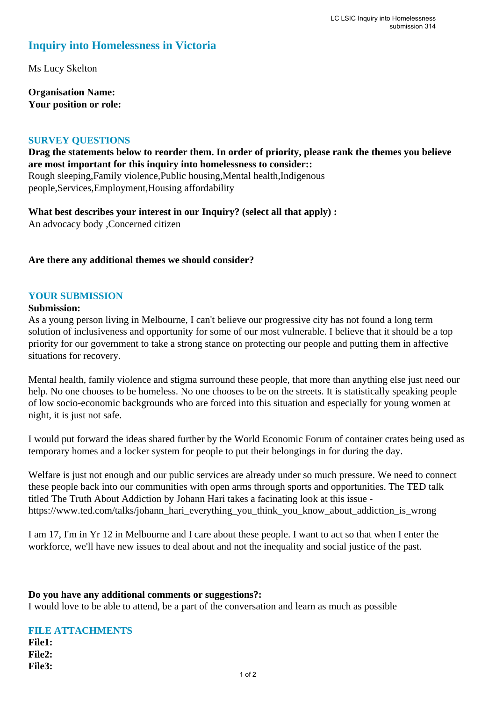# **Inquiry into Homelessness in Victoria**

Ms Lucy Skelton

**Organisation Name: Your position or role:** 

### **SURVEY QUESTIONS**

**Drag the statements below to reorder them. In order of priority, please rank the themes you believe are most important for this inquiry into homelessness to consider::**  Rough sleeping,Family violence,Public housing,Mental health,Indigenous people,Services,Employment,Housing affordability

**What best describes your interest in our Inquiry? (select all that apply) :**  An advocacy body ,Concerned citizen

## **Are there any additional themes we should consider?**

### **YOUR SUBMISSION**

#### **Submission:**

As a young person living in Melbourne, I can't believe our progressive city has not found a long term solution of inclusiveness and opportunity for some of our most vulnerable. I believe that it should be a top priority for our government to take a strong stance on protecting our people and putting them in affective situations for recovery.

Mental health, family violence and stigma surround these people, that more than anything else just need our help. No one chooses to be homeless. No one chooses to be on the streets. It is statistically speaking people of low socio-economic backgrounds who are forced into this situation and especially for young women at night, it is just not safe.

I would put forward the ideas shared further by the World Economic Forum of container crates being used as temporary homes and a locker system for people to put their belongings in for during the day.

Welfare is just not enough and our public services are already under so much pressure. We need to connect these people back into our communities with open arms through sports and opportunities. The TED talk titled The Truth About Addiction by Johann Hari takes a facinating look at this issue https://www.ted.com/talks/johann\_hari\_everything\_you\_think\_you\_know\_about\_addiction\_is\_wrong

I am 17, I'm in Yr 12 in Melbourne and I care about these people. I want to act so that when I enter the workforce, we'll have new issues to deal about and not the inequality and social justice of the past.

#### **Do you have any additional comments or suggestions?:**

I would love to be able to attend, be a part of the conversation and learn as much as possible

|               | <b>FILE ATTACHMENTS</b> |
|---------------|-------------------------|
| <b>File1:</b> |                         |
| <b>File2:</b> |                         |
| File3:        |                         |